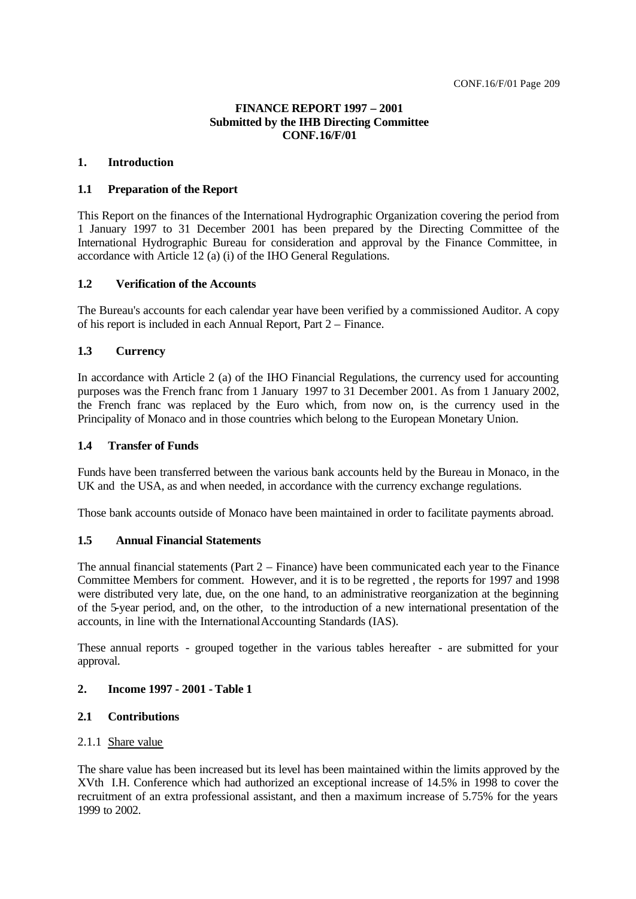# **FINANCE REPORT 1997 – 2001 Submitted by the IHB Directing Committee CONF.16/F/01**

#### **1. Introduction**

#### **1.1 Preparation of the Report**

This Report on the finances of the International Hydrographic Organization covering the period from 1 January 1997 to 31 December 2001 has been prepared by the Directing Committee of the International Hydrographic Bureau for consideration and approval by the Finance Committee, in accordance with Article 12 (a) (i) of the IHO General Regulations.

#### **1.2 Verification of the Accounts**

The Bureau's accounts for each calendar year have been verified by a commissioned Auditor. A copy of his report is included in each Annual Report, Part 2 – Finance.

#### **1.3 Currency**

In accordance with Article 2 (a) of the IHO Financial Regulations, the currency used for accounting purposes was the French franc from 1 January 1997 to 31 December 2001. As from 1 January 2002, the French franc was replaced by the Euro which, from now on, is the currency used in the Principality of Monaco and in those countries which belong to the European Monetary Union.

# **1.4 Transfer of Funds**

Funds have been transferred between the various bank accounts held by the Bureau in Monaco, in the UK and the USA, as and when needed, in accordance with the currency exchange regulations.

Those bank accounts outside of Monaco have been maintained in order to facilitate payments abroad.

#### **1.5 Annual Financial Statements**

The annual financial statements (Part  $2 -$  Finance) have been communicated each year to the Finance Committee Members for comment. However, and it is to be regretted , the reports for 1997 and 1998 were distributed very late, due, on the one hand, to an administrative reorganization at the beginning of the 5-year period, and, on the other, to the introduction of a new international presentation of the accounts, in line with the International Accounting Standards (IAS).

These annual reports - grouped together in the various tables hereafter - are submitted for your approval.

### **2. Income 1997 - 2001 - Table 1**

#### **2.1 Contributions**

# 2.1.1 Share value

The share value has been increased but its level has been maintained within the limits approved by the XVth I.H. Conference which had authorized an exceptional increase of 14.5% in 1998 to cover the recruitment of an extra professional assistant, and then a maximum increase of 5.75% for the years 1999 to 2002.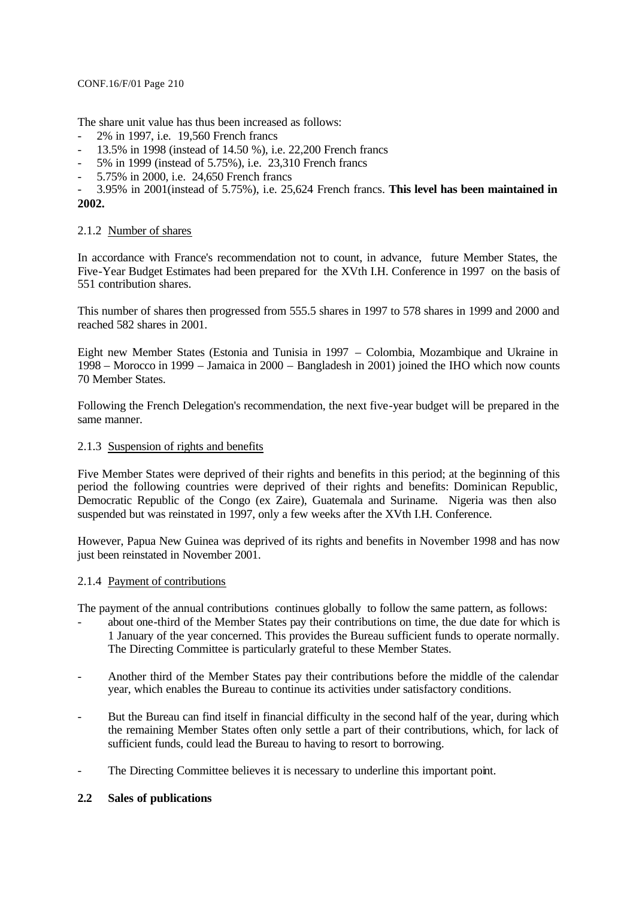The share unit value has thus been increased as follows:

- 2% in 1997, i.e. 19,560 French francs
- 13.5% in 1998 (instead of 14.50 %), i.e. 22,200 French francs
- 5% in 1999 (instead of 5.75%), i.e. 23,310 French francs
- 5.75% in 2000, i.e. 24,650 French francs
- 3.95% in 2001(instead of 5.75%), i.e. 25,624 French francs. **This level has been maintained in 2002.**

### 2.1.2 Number of shares

In accordance with France's recommendation not to count, in advance, future Member States, the Five-Year Budget Estimates had been prepared for the XVth I.H. Conference in 1997 on the basis of 551 contribution shares.

This number of shares then progressed from 555.5 shares in 1997 to 578 shares in 1999 and 2000 and reached 582 shares in 2001.

Eight new Member States (Estonia and Tunisia in 1997 – Colombia, Mozambique and Ukraine in 1998 – Morocco in 1999 – Jamaica in 2000 – Bangladesh in 2001) joined the IHO which now counts 70 Member States.

Following the French Delegation's recommendation, the next five-year budget will be prepared in the same manner.

#### 2.1.3 Suspension of rights and benefits

Five Member States were deprived of their rights and benefits in this period; at the beginning of this period the following countries were deprived of their rights and benefits: Dominican Republic, Democratic Republic of the Congo (ex Zaire), Guatemala and Suriname. Nigeria was then also suspended but was reinstated in 1997, only a few weeks after the XVth I.H. Conference.

However, Papua New Guinea was deprived of its rights and benefits in November 1998 and has now just been reinstated in November 2001.

### 2.1.4 Payment of contributions

The payment of the annual contributions continues globally to follow the same pattern, as follows:

- about one-third of the Member States pay their contributions on time, the due date for which is 1 January of the year concerned. This provides the Bureau sufficient funds to operate normally. The Directing Committee is particularly grateful to these Member States.
- Another third of the Member States pay their contributions before the middle of the calendar year, which enables the Bureau to continue its activities under satisfactory conditions.
- But the Bureau can find itself in financial difficulty in the second half of the year, during which the remaining Member States often only settle a part of their contributions, which, for lack of sufficient funds, could lead the Bureau to having to resort to borrowing.
- The Directing Committee believes it is necessary to underline this important point.

### **2.2 Sales of publications**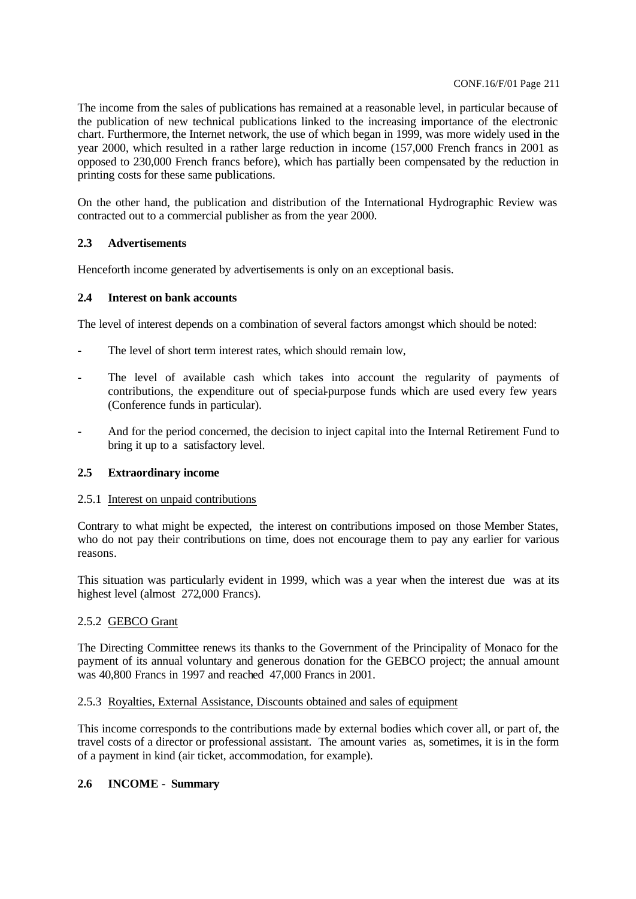The income from the sales of publications has remained at a reasonable level, in particular because of the publication of new technical publications linked to the increasing importance of the electronic chart. Furthermore, the Internet network, the use of which began in 1999, was more widely used in the year 2000, which resulted in a rather large reduction in income (157,000 French francs in 2001 as opposed to 230,000 French francs before), which has partially been compensated by the reduction in printing costs for these same publications.

On the other hand, the publication and distribution of the International Hydrographic Review was contracted out to a commercial publisher as from the year 2000.

# **2.3 Advertisements**

Henceforth income generated by advertisements is only on an exceptional basis.

### **2.4 Interest on bank accounts**

The level of interest depends on a combination of several factors amongst which should be noted:

- The level of short term interest rates, which should remain low,
- The level of available cash which takes into account the regularity of payments of contributions, the expenditure out of special-purpose funds which are used every few years (Conference funds in particular).
- And for the period concerned, the decision to inject capital into the Internal Retirement Fund to bring it up to a satisfactory level.

# **2.5 Extraordinary income**

### 2.5.1 Interest on unpaid contributions

Contrary to what might be expected, the interest on contributions imposed on those Member States, who do not pay their contributions on time, does not encourage them to pay any earlier for various reasons.

This situation was particularly evident in 1999, which was a year when the interest due was at its highest level (almost 272,000 Francs).

### 2.5.2 GEBCO Grant

The Directing Committee renews its thanks to the Government of the Principality of Monaco for the payment of its annual voluntary and generous donation for the GEBCO project; the annual amount was 40,800 Francs in 1997 and reached 47,000 Francs in 2001.

### 2.5.3 Royalties, External Assistance, Discounts obtained and sales of equipment

This income corresponds to the contributions made by external bodies which cover all, or part of, the travel costs of a director or professional assistant. The amount varies as, sometimes, it is in the form of a payment in kind (air ticket, accommodation, for example).

# **2.6 INCOME - Summary**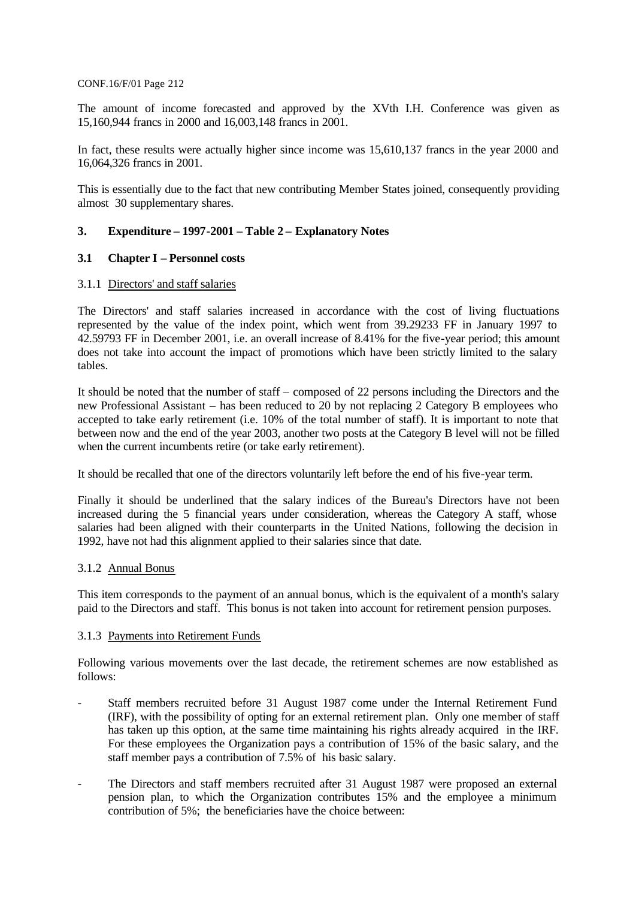The amount of income forecasted and approved by the XVth I.H. Conference was given as 15,160,944 francs in 2000 and 16,003,148 francs in 2001.

In fact, these results were actually higher since income was 15,610,137 francs in the year 2000 and 16,064,326 francs in 2001.

This is essentially due to the fact that new contributing Member States joined, consequently providing almost 30 supplementary shares.

# **3. Expenditure – 1997-2001 – Table 2 – Explanatory Notes**

### **3.1 Chapter I – Personnel costs**

### 3.1.1 Directors' and staff salaries

The Directors' and staff salaries increased in accordance with the cost of living fluctuations represented by the value of the index point, which went from 39.29233 FF in January 1997 to 42.59793 FF in December 2001, i.e. an overall increase of 8.41% for the five-year period; this amount does not take into account the impact of promotions which have been strictly limited to the salary tables.

It should be noted that the number of staff – composed of 22 persons including the Directors and the new Professional Assistant – has been reduced to 20 by not replacing 2 Category B employees who accepted to take early retirement (i.e. 10% of the total number of staff). It is important to note that between now and the end of the year 2003, another two posts at the Category B level will not be filled when the current incumbents retire (or take early retirement).

It should be recalled that one of the directors voluntarily left before the end of his five-year term.

Finally it should be underlined that the salary indices of the Bureau's Directors have not been increased during the 5 financial years under consideration, whereas the Category A staff, whose salaries had been aligned with their counterparts in the United Nations, following the decision in 1992, have not had this alignment applied to their salaries since that date.

### 3.1.2 Annual Bonus

This item corresponds to the payment of an annual bonus, which is the equivalent of a month's salary paid to the Directors and staff. This bonus is not taken into account for retirement pension purposes.

#### 3.1.3 Payments into Retirement Funds

Following various movements over the last decade, the retirement schemes are now established as follows:

- Staff members recruited before 31 August 1987 come under the Internal Retirement Fund (IRF), with the possibility of opting for an external retirement plan. Only one member of staff has taken up this option, at the same time maintaining his rights already acquired in the IRF. For these employees the Organization pays a contribution of 15% of the basic salary, and the staff member pays a contribution of 7.5% of his basic salary.
- The Directors and staff members recruited after 31 August 1987 were proposed an external pension plan, to which the Organization contributes 15% and the employee a minimum contribution of 5%; the beneficiaries have the choice between: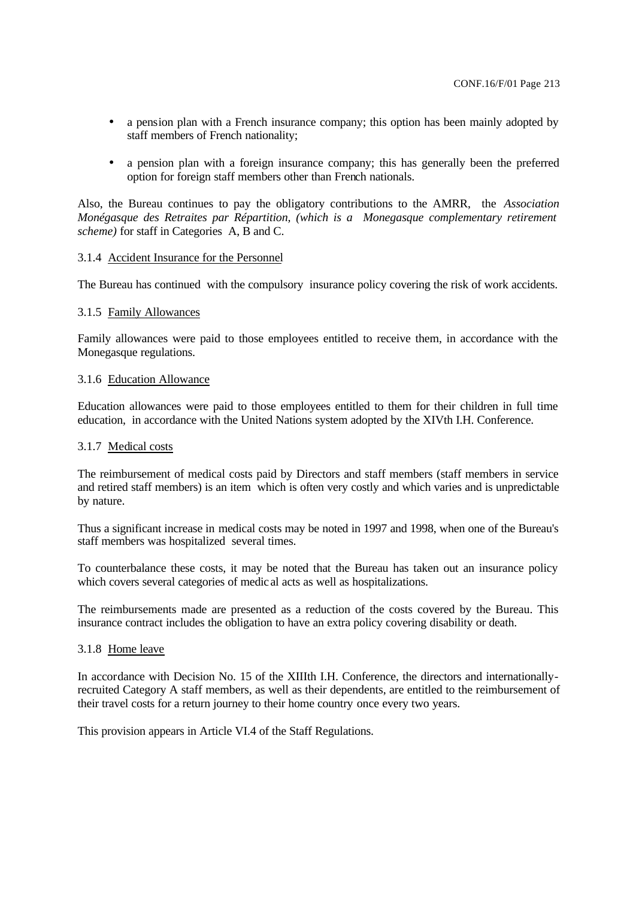- a pension plan with a French insurance company; this option has been mainly adopted by staff members of French nationality;
- a pension plan with a foreign insurance company; this has generally been the preferred option for foreign staff members other than French nationals.

Also, the Bureau continues to pay the obligatory contributions to the AMRR, the *Association Monégasque des Retraites par Répartition, (which is a Monegasque complementary retirement scheme)* for staff in Categories A, B and C.

#### 3.1.4 Accident Insurance for the Personnel

The Bureau has continued with the compulsory insurance policy covering the risk of work accidents.

#### 3.1.5 Family Allowances

Family allowances were paid to those employees entitled to receive them, in accordance with the Monegasque regulations.

#### 3.1.6 Education Allowance

Education allowances were paid to those employees entitled to them for their children in full time education, in accordance with the United Nations system adopted by the XIVth I.H. Conference.

#### 3.1.7 Medical costs

The reimbursement of medical costs paid by Directors and staff members (staff members in service and retired staff members) is an item which is often very costly and which varies and is unpredictable by nature.

Thus a significant increase in medical costs may be noted in 1997 and 1998, when one of the Bureau's staff members was hospitalized several times.

To counterbalance these costs, it may be noted that the Bureau has taken out an insurance policy which covers several categories of medic al acts as well as hospitalizations.

The reimbursements made are presented as a reduction of the costs covered by the Bureau. This insurance contract includes the obligation to have an extra policy covering disability or death.

#### 3.1.8 Home leave

In accordance with Decision No. 15 of the XIIIth I.H. Conference, the directors and internationallyrecruited Category A staff members, as well as their dependents, are entitled to the reimbursement of their travel costs for a return journey to their home country once every two years.

This provision appears in Article VI.4 of the Staff Regulations.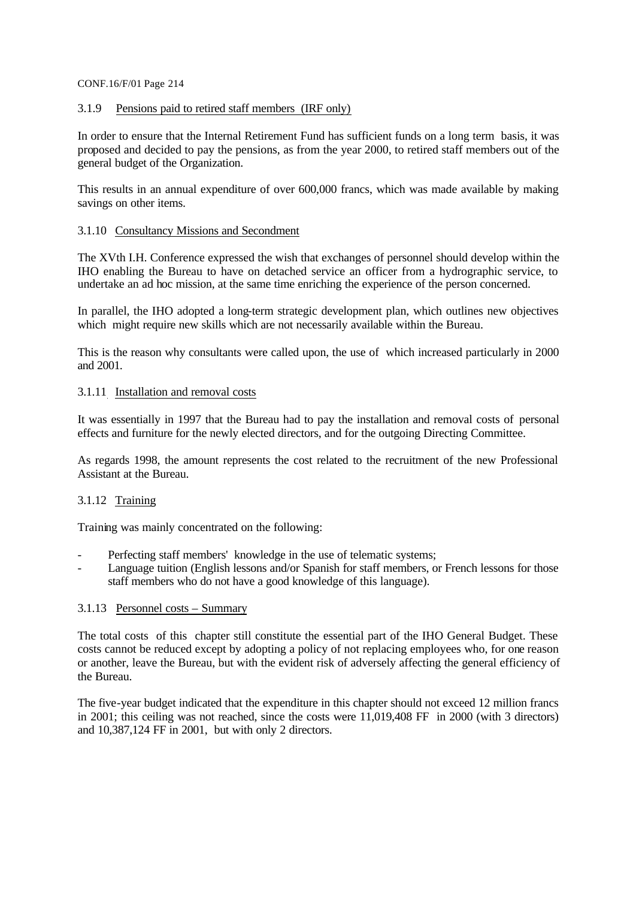### 3.1.9 Pensions paid to retired staff members (IRF only)

In order to ensure that the Internal Retirement Fund has sufficient funds on a long term basis, it was proposed and decided to pay the pensions, as from the year 2000, to retired staff members out of the general budget of the Organization.

This results in an annual expenditure of over 600,000 francs, which was made available by making savings on other items.

#### 3.1.10 Consultancy Missions and Secondment

The XVth I.H. Conference expressed the wish that exchanges of personnel should develop within the IHO enabling the Bureau to have on detached service an officer from a hydrographic service, to undertake an ad hoc mission, at the same time enriching the experience of the person concerned.

In parallel, the IHO adopted a long-term strategic development plan, which outlines new objectives which might require new skills which are not necessarily available within the Bureau.

This is the reason why consultants were called upon, the use of which increased particularly in 2000 and 2001.

#### 3.1.11 Installation and removal costs

It was essentially in 1997 that the Bureau had to pay the installation and removal costs of personal effects and furniture for the newly elected directors, and for the outgoing Directing Committee.

As regards 1998, the amount represents the cost related to the recruitment of the new Professional Assistant at the Bureau.

### 3.1.12 Training

Training was mainly concentrated on the following:

- Perfecting staff members' knowledge in the use of telematic systems;
- Language tuition (English lessons and/or Spanish for staff members, or French lessons for those staff members who do not have a good knowledge of this language).

#### 3.1.13 Personnel costs – Summary

The total costs of this chapter still constitute the essential part of the IHO General Budget. These costs cannot be reduced except by adopting a policy of not replacing employees who, for one reason or another, leave the Bureau, but with the evident risk of adversely affecting the general efficiency of the Bureau.

The five-year budget indicated that the expenditure in this chapter should not exceed 12 million francs in 2001; this ceiling was not reached, since the costs were 11,019,408 FF in 2000 (with 3 directors) and 10,387,124 FF in 2001, but with only 2 directors.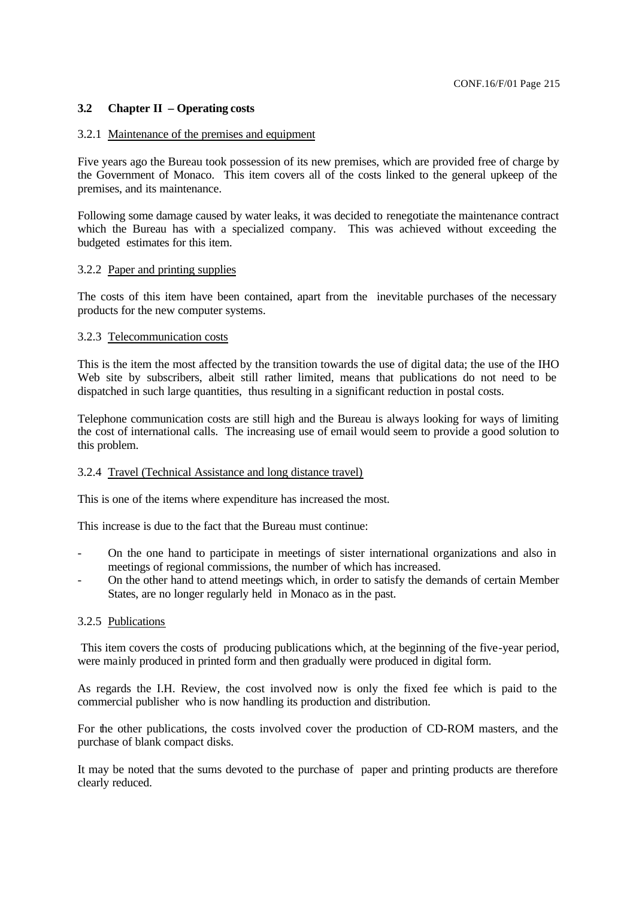# **3.2 Chapter II – Operating costs**

#### 3.2.1 Maintenance of the premises and equipment

Five years ago the Bureau took possession of its new premises, which are provided free of charge by the Government of Monaco. This item covers all of the costs linked to the general upkeep of the premises, and its maintenance.

Following some damage caused by water leaks, it was decided to renegotiate the maintenance contract which the Bureau has with a specialized company. This was achieved without exceeding the budgeted estimates for this item.

#### 3.2.2 Paper and printing supplies

The costs of this item have been contained, apart from the inevitable purchases of the necessary products for the new computer systems.

#### 3.2.3 Telecommunication costs

This is the item the most affected by the transition towards the use of digital data; the use of the IHO Web site by subscribers, albeit still rather limited, means that publications do not need to be dispatched in such large quantities, thus resulting in a significant reduction in postal costs.

Telephone communication costs are still high and the Bureau is always looking for ways of limiting the cost of international calls. The increasing use of email would seem to provide a good solution to this problem.

### 3.2.4 Travel (Technical Assistance and long distance travel)

This is one of the items where expenditure has increased the most.

This increase is due to the fact that the Bureau must continue:

- On the one hand to participate in meetings of sister international organizations and also in meetings of regional commissions, the number of which has increased.
- On the other hand to attend meetings which, in order to satisfy the demands of certain Member States, are no longer regularly held in Monaco as in the past.

#### 3.2.5 Publications

 This item covers the costs of producing publications which, at the beginning of the five-year period, were mainly produced in printed form and then gradually were produced in digital form.

As regards the I.H. Review, the cost involved now is only the fixed fee which is paid to the commercial publisher who is now handling its production and distribution.

For the other publications, the costs involved cover the production of CD-ROM masters, and the purchase of blank compact disks.

It may be noted that the sums devoted to the purchase of paper and printing products are therefore clearly reduced.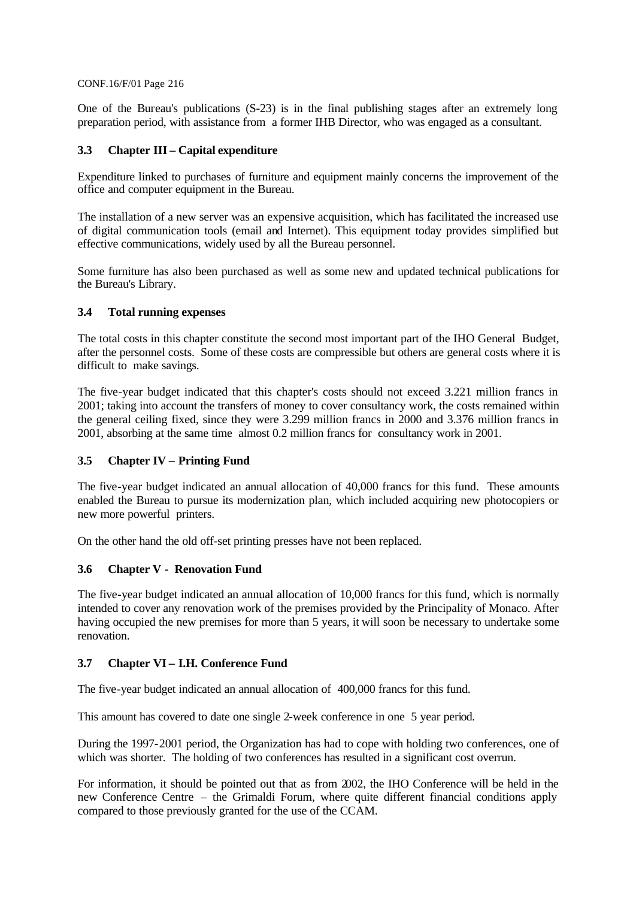One of the Bureau's publications (S-23) is in the final publishing stages after an extremely long preparation period, with assistance from a former IHB Director, who was engaged as a consultant.

# **3.3 Chapter III – Capital expenditure**

Expenditure linked to purchases of furniture and equipment mainly concerns the improvement of the office and computer equipment in the Bureau.

The installation of a new server was an expensive acquisition, which has facilitated the increased use of digital communication tools (email and Internet). This equipment today provides simplified but effective communications, widely used by all the Bureau personnel.

Some furniture has also been purchased as well as some new and updated technical publications for the Bureau's Library.

### **3.4 Total running expenses**

The total costs in this chapter constitute the second most important part of the IHO General Budget, after the personnel costs. Some of these costs are compressible but others are general costs where it is difficult to make savings.

The five-year budget indicated that this chapter's costs should not exceed 3.221 million francs in 2001; taking into account the transfers of money to cover consultancy work, the costs remained within the general ceiling fixed, since they were 3.299 million francs in 2000 and 3.376 million francs in 2001, absorbing at the same time almost 0.2 million francs for consultancy work in 2001.

### **3.5 Chapter IV – Printing Fund**

The five-year budget indicated an annual allocation of 40,000 francs for this fund. These amounts enabled the Bureau to pursue its modernization plan, which included acquiring new photocopiers or new more powerful printers.

On the other hand the old off-set printing presses have not been replaced.

### **3.6 Chapter V - Renovation Fund**

The five-year budget indicated an annual allocation of 10,000 francs for this fund, which is normally intended to cover any renovation work of the premises provided by the Principality of Monaco. After having occupied the new premises for more than 5 years, it will soon be necessary to undertake some renovation.

### **3.7 Chapter VI – I.H. Conference Fund**

The five-year budget indicated an annual allocation of 400,000 francs for this fund.

This amount has covered to date one single 2-week conference in one 5 year period.

During the 1997-2001 period, the Organization has had to cope with holding two conferences, one of which was shorter. The holding of two conferences has resulted in a significant cost overrun.

For information, it should be pointed out that as from 2002, the IHO Conference will be held in the new Conference Centre – the Grimaldi Forum, where quite different financial conditions apply compared to those previously granted for the use of the CCAM.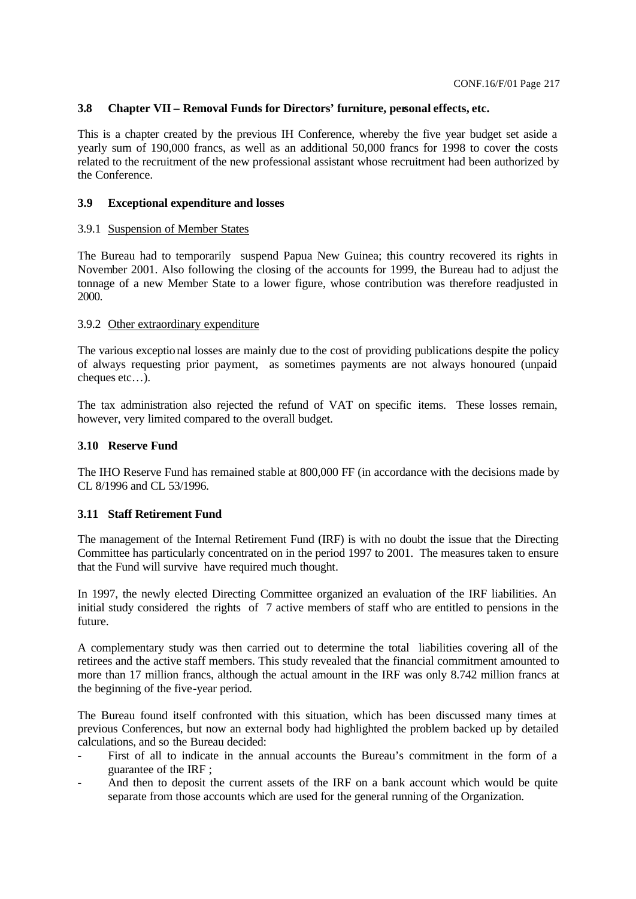### **3.8 Chapter VII – Removal Funds for Directors' furniture, personal effects, etc.**

This is a chapter created by the previous IH Conference, whereby the five year budget set aside a yearly sum of 190,000 francs, as well as an additional 50,000 francs for 1998 to cover the costs related to the recruitment of the new professional assistant whose recruitment had been authorized by the Conference.

#### **3.9 Exceptional expenditure and losses**

#### 3.9.1 Suspension of Member States

The Bureau had to temporarily suspend Papua New Guinea; this country recovered its rights in November 2001. Also following the closing of the accounts for 1999, the Bureau had to adjust the tonnage of a new Member State to a lower figure, whose contribution was therefore readjusted in 2000.

#### 3.9.2 Other extraordinary expenditure

The various exceptional losses are mainly due to the cost of providing publications despite the policy of always requesting prior payment, as sometimes payments are not always honoured (unpaid cheques etc…).

The tax administration also rejected the refund of VAT on specific items. These losses remain, however, very limited compared to the overall budget.

#### **3.10 Reserve Fund**

The IHO Reserve Fund has remained stable at 800,000 FF (in accordance with the decisions made by CL 8/1996 and CL 53/1996.

### **3.11 Staff Retirement Fund**

The management of the Internal Retirement Fund (IRF) is with no doubt the issue that the Directing Committee has particularly concentrated on in the period 1997 to 2001. The measures taken to ensure that the Fund will survive have required much thought.

In 1997, the newly elected Directing Committee organized an evaluation of the IRF liabilities. An initial study considered the rights of 7 active members of staff who are entitled to pensions in the future.

A complementary study was then carried out to determine the total liabilities covering all of the retirees and the active staff members. This study revealed that the financial commitment amounted to more than 17 million francs, although the actual amount in the IRF was only 8.742 million francs at the beginning of the five-year period.

The Bureau found itself confronted with this situation, which has been discussed many times at previous Conferences, but now an external body had highlighted the problem backed up by detailed calculations, and so the Bureau decided:

- First of all to indicate in the annual accounts the Bureau's commitment in the form of a guarantee of the IRF ;
- And then to deposit the current assets of the IRF on a bank account which would be quite separate from those accounts which are used for the general running of the Organization.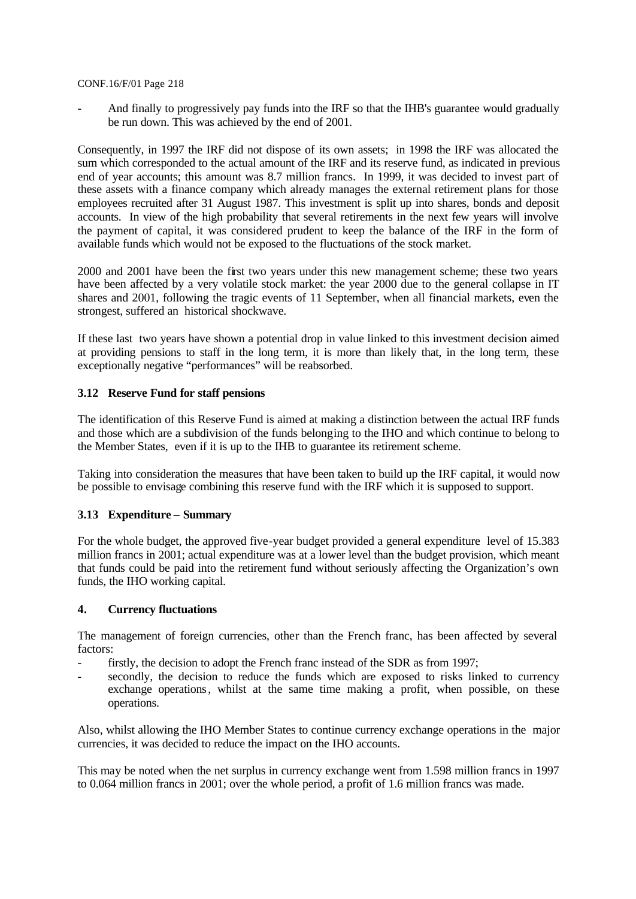And finally to progressively pay funds into the IRF so that the IHB's guarantee would gradually be run down. This was achieved by the end of 2001.

Consequently, in 1997 the IRF did not dispose of its own assets; in 1998 the IRF was allocated the sum which corresponded to the actual amount of the IRF and its reserve fund, as indicated in previous end of year accounts; this amount was 8.7 million francs. In 1999, it was decided to invest part of these assets with a finance company which already manages the external retirement plans for those employees recruited after 31 August 1987. This investment is split up into shares, bonds and deposit accounts. In view of the high probability that several retirements in the next few years will involve the payment of capital, it was considered prudent to keep the balance of the IRF in the form of available funds which would not be exposed to the fluctuations of the stock market.

2000 and 2001 have been the first two years under this new management scheme; these two years have been affected by a very volatile stock market: the year 2000 due to the general collapse in IT shares and 2001, following the tragic events of 11 September, when all financial markets, even the strongest, suffered an historical shockwave.

If these last two years have shown a potential drop in value linked to this investment decision aimed at providing pensions to staff in the long term, it is more than likely that, in the long term, these exceptionally negative "performances" will be reabsorbed.

### **3.12 Reserve Fund for staff pensions**

The identification of this Reserve Fund is aimed at making a distinction between the actual IRF funds and those which are a subdivision of the funds belonging to the IHO and which continue to belong to the Member States, even if it is up to the IHB to guarantee its retirement scheme.

Taking into consideration the measures that have been taken to build up the IRF capital, it would now be possible to envisage combining this reserve fund with the IRF which it is supposed to support.

### **3.13 Expenditure – Summary**

For the whole budget, the approved five-year budget provided a general expenditure level of 15.383 million francs in 2001; actual expenditure was at a lower level than the budget provision, which meant that funds could be paid into the retirement fund without seriously affecting the Organization's own funds, the IHO working capital.

### **4. Currency fluctuations**

The management of foreign currencies, other than the French franc, has been affected by several factors:

- firstly, the decision to adopt the French franc instead of the SDR as from 1997;
- secondly, the decision to reduce the funds which are exposed to risks linked to currency exchange operations, whilst at the same time making a profit, when possible, on these operations.

Also, whilst allowing the IHO Member States to continue currency exchange operations in the major currencies, it was decided to reduce the impact on the IHO accounts.

This may be noted when the net surplus in currency exchange went from 1.598 million francs in 1997 to 0.064 million francs in 2001; over the whole period, a profit of 1.6 million francs was made.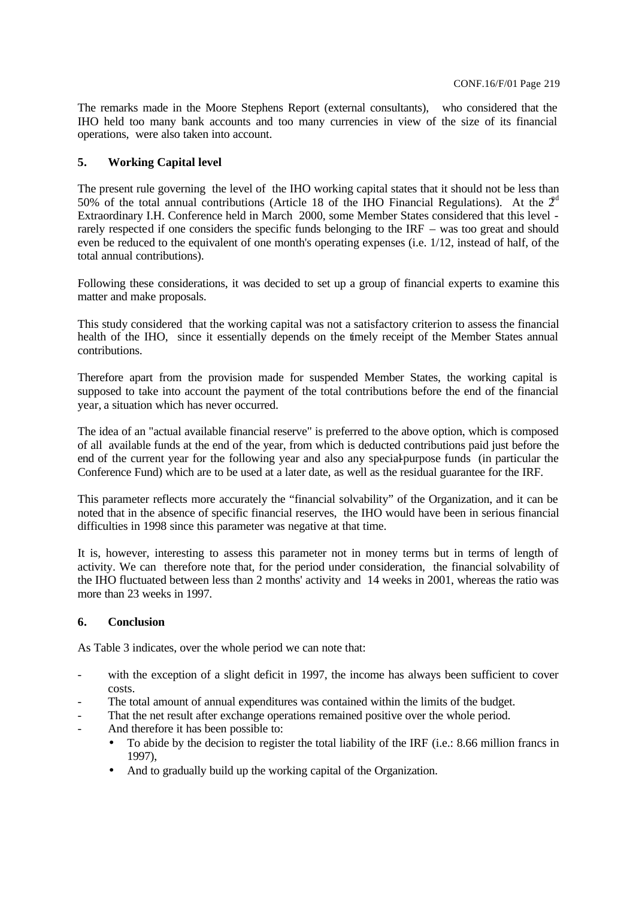The remarks made in the Moore Stephens Report (external consultants), who considered that the IHO held too many bank accounts and too many currencies in view of the size of its financial operations, were also taken into account.

# **5. Working Capital level**

The present rule governing the level of the IHO working capital states that it should not be less than 50% of the total annual contributions (Article 18 of the IHO Financial Regulations). At the  $2<sup>d</sup>$ Extraordinary I.H. Conference held in March 2000, some Member States considered that this level rarely respected if one considers the specific funds belonging to the IRF – was too great and should even be reduced to the equivalent of one month's operating expenses (i.e. 1/12, instead of half, of the total annual contributions).

Following these considerations, it was decided to set up a group of financial experts to examine this matter and make proposals.

This study considered that the working capital was not a satisfactory criterion to assess the financial health of the IHO, since it essentially depends on the timely receipt of the Member States annual contributions.

Therefore apart from the provision made for suspended Member States, the working capital is supposed to take into account the payment of the total contributions before the end of the financial year, a situation which has never occurred.

The idea of an "actual available financial reserve" is preferred to the above option, which is composed of all available funds at the end of the year, from which is deducted contributions paid just before the end of the current year for the following year and also any special-purpose funds (in particular the Conference Fund) which are to be used at a later date, as well as the residual guarantee for the IRF.

This parameter reflects more accurately the "financial solvability" of the Organization, and it can be noted that in the absence of specific financial reserves, the IHO would have been in serious financial difficulties in 1998 since this parameter was negative at that time.

It is, however, interesting to assess this parameter not in money terms but in terms of length of activity. We can therefore note that, for the period under consideration, the financial solvability of the IHO fluctuated between less than 2 months' activity and 14 weeks in 2001, whereas the ratio was more than 23 weeks in 1997.

### **6. Conclusion**

As Table 3 indicates, over the whole period we can note that:

- with the exception of a slight deficit in 1997, the income has always been sufficient to cover costs.
- The total amount of annual expenditures was contained within the limits of the budget.
- That the net result after exchange operations remained positive over the whole period.
- And therefore it has been possible to:
	- To abide by the decision to register the total liability of the IRF (i.e.: 8.66 million francs in 1997),
	- And to gradually build up the working capital of the Organization.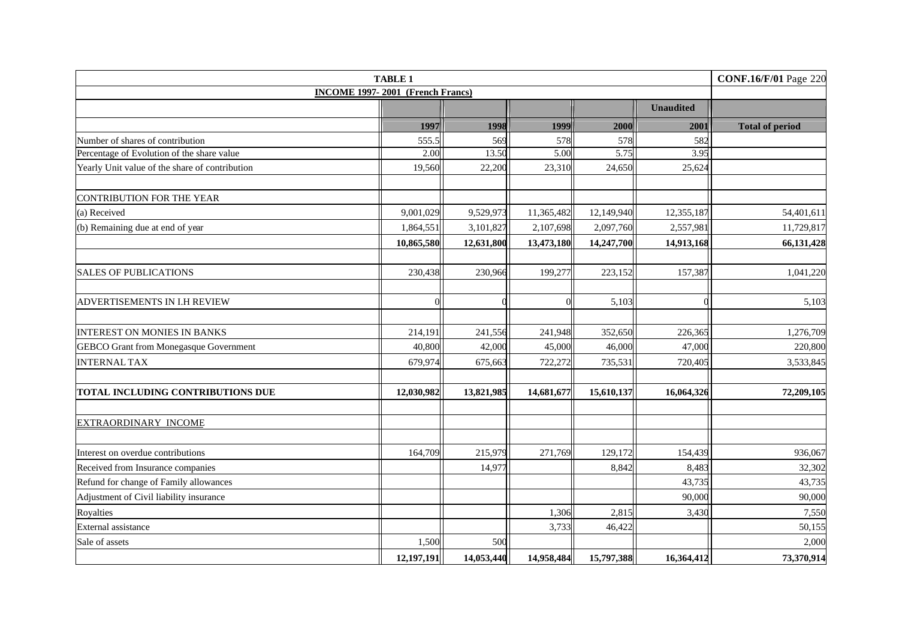|                                                | <b>CONF.16/F/01 Page 220</b>            |            |            |            |                  |                        |
|------------------------------------------------|-----------------------------------------|------------|------------|------------|------------------|------------------------|
|                                                | <b>INCOME 1997-2001 (French Francs)</b> |            |            |            |                  |                        |
|                                                |                                         |            |            |            | <b>Unaudited</b> |                        |
|                                                | 1997                                    | 1998       | 1999       | 2000       | 2001             | <b>Total of period</b> |
| Number of shares of contribution               | 555.5                                   | 569        | 578        | 578        | 582              |                        |
| Percentage of Evolution of the share value     | 2.00                                    | 13.50      | 5.00       | 5.75       | 3.95             |                        |
| Yearly Unit value of the share of contribution | 19,560                                  | 22,200     | 23,310     | 24,650     | 25,624           |                        |
| CONTRIBUTION FOR THE YEAR                      |                                         |            |            |            |                  |                        |
| (a) Received                                   | 9,001,029                               | 9,529,973  | 11,365,482 | 12,149,940 | 12,355,187       | 54,401,611             |
| (b) Remaining due at end of year               | 1,864,551                               | 3,101,827  | 2,107,698  | 2,097,760  | 2,557,981        | 11,729,817             |
|                                                | 10,865,580                              | 12,631,800 | 13,473,180 | 14,247,700 | 14,913,168       | 66,131,428             |
| <b>SALES OF PUBLICATIONS</b>                   | 230,438                                 | 230,966    | 199,277    | 223,152    | 157,387          | 1,041,220              |
| ADVERTISEMENTS IN I.H REVIEW                   |                                         |            |            | 5,103      |                  | 5,103                  |
| <b>INTEREST ON MONIES IN BANKS</b>             | 214,191                                 | 241,556    | 241,948    | 352,650    | 226,365          | 1,276,709              |
| <b>GEBCO Grant from Monegasque Government</b>  | 40,800                                  | 42,000     | 45,000     | 46,000     | 47,000           | 220,800                |
| <b>INTERNAL TAX</b>                            | 679,974                                 | 675,663    | 722,272    | 735,531    | 720,405          | 3,533,845              |
|                                                | 12,030,982                              |            |            |            |                  | 72,209,105             |
| TOTAL INCLUDING CONTRIBUTIONS DUE              |                                         | 13,821,985 | 14,681,677 | 15,610,137 | 16,064,326       |                        |
| EXTRAORDINARY INCOME                           |                                         |            |            |            |                  |                        |
| Interest on overdue contributions              | 164,709                                 | 215,979    | 271,769    | 129,172    | 154,439          | 936,067                |
| Received from Insurance companies              |                                         | 14,977     |            | 8,842      | 8,483            | 32,302                 |
| Refund for change of Family allowances         |                                         |            |            |            | 43,735           | 43,735                 |
| Adjustment of Civil liability insurance        |                                         |            |            |            | 90,000           | 90,000                 |
| Royalties                                      |                                         |            | 1,306      | 2,815      | 3,430            | 7,550                  |
| External assistance                            |                                         |            | 3,733      | 46,422     |                  | 50,155                 |
| Sale of assets                                 | 1,500                                   | 500        |            |            |                  | 2,000                  |
|                                                | 12,197,191                              | 14,053,440 | 14,958,484 | 15,797,388 | 16,364,412       | 73,370,914             |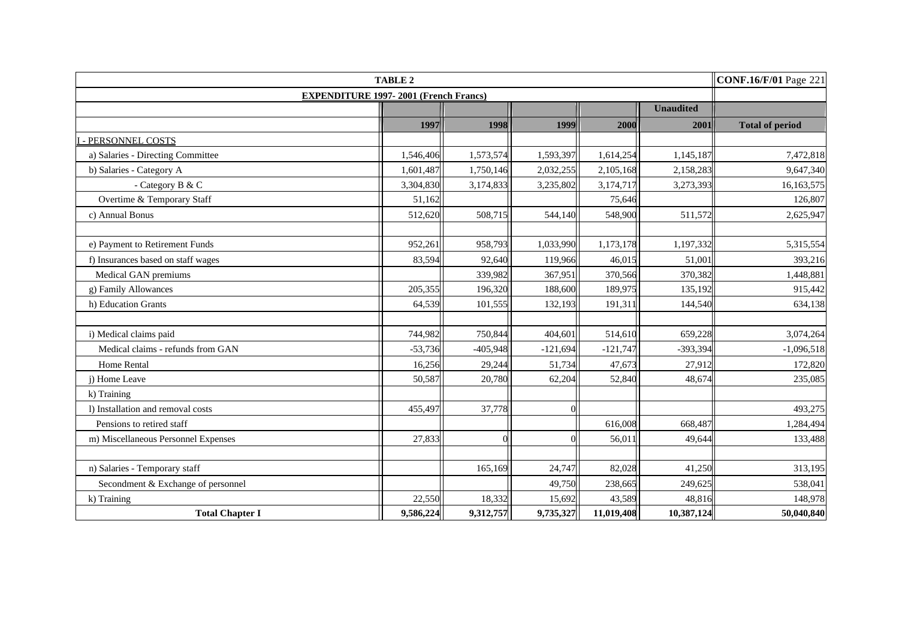|                                     | <b>CONF.16/F/01 Page 221</b>                 |            |            |            |                  |                        |
|-------------------------------------|----------------------------------------------|------------|------------|------------|------------------|------------------------|
|                                     | <b>EXPENDITURE 1997-2001 (French Francs)</b> |            |            |            |                  |                        |
|                                     |                                              |            |            |            | <b>Unaudited</b> |                        |
|                                     | 1997                                         | 1998       | 1999       | 2000       | 2001             | <b>Total of period</b> |
| PERSONNEL COSTS                     |                                              |            |            |            |                  |                        |
| a) Salaries - Directing Committee   | 1,546,406                                    | 1,573,574  | 1,593,397  | 1,614,254  | 1,145,187        | 7,472,818              |
| b) Salaries - Category A            | 1,601,487                                    | 1,750,146  | 2,032,255  | 2,105,168  | 2,158,283        | 9,647,340              |
| - Category B & C                    | 3,304,830                                    | 3,174,833  | 3,235,802  | 3,174,717  | 3,273,393        | 16,163,575             |
| Overtime & Temporary Staff          | 51,162                                       |            |            | 75,646     |                  | 126,807                |
| c) Annual Bonus                     | 512,620                                      | 508,715    | 544,140    | 548,900    | 511,572          | 2,625,947              |
|                                     |                                              |            |            |            |                  |                        |
| e) Payment to Retirement Funds      | 952,261                                      | 958,793    | 1,033,990  | 1,173,178  | 1,197,332        | 5,315,554              |
| f) Insurances based on staff wages  | 83,594                                       | 92,640     | 119,966    | 46,015     | 51,001           | 393,216                |
| Medical GAN premiums                |                                              | 339,982    | 367,951    | 370,566    | 370,382          | 1,448,881              |
| g) Family Allowances                | 205,355                                      | 196,320    | 188,600    | 189,975    | 135,192          | 915,442                |
| h) Education Grants                 | 64,539                                       | 101,555    | 132,193    | 191,311    | 144,540          | 634,138                |
|                                     |                                              |            |            |            |                  |                        |
| i) Medical claims paid              | 744,982                                      | 750,844    | 404,601    | 514,610    | 659,228          | 3,074,264              |
| Medical claims - refunds from GAN   | $-53,736$                                    | $-405,948$ | $-121,694$ | $-121,747$ | $-393,394$       | $-1,096,518$           |
| Home Rental                         | 16,256                                       | 29,244     | 51,734     | 47,673     | 27,912           | 172,820                |
| j) Home Leave                       | 50,587                                       | 20,780     | 62,204     | 52,840     | 48,674           | 235,085                |
| k) Training                         |                                              |            |            |            |                  |                        |
| 1) Installation and removal costs   | 455,497                                      | 37,778     |            |            |                  | 493,275                |
| Pensions to retired staff           |                                              |            |            | 616,008    | 668,487          | 1,284,494              |
| m) Miscellaneous Personnel Expenses | 27,833                                       |            |            | 56,011     | 49.644           | 133,488                |
|                                     |                                              |            |            |            |                  |                        |
| n) Salaries - Temporary staff       |                                              | 165,169    | 24,747     | 82,028     | 41,250           | 313,195                |
| Secondment & Exchange of personnel  |                                              |            | 49,750     | 238,665    | 249,625          | 538,041                |
| k) Training                         | 22,550                                       | 18,332     | 15,692     | 43,589     | 48,816           | 148,978                |
| <b>Total Chapter I</b>              | 9,586,224                                    | 9,312,757  | 9,735,327  | 11,019,408 | 10,387,124       | 50,040,840             |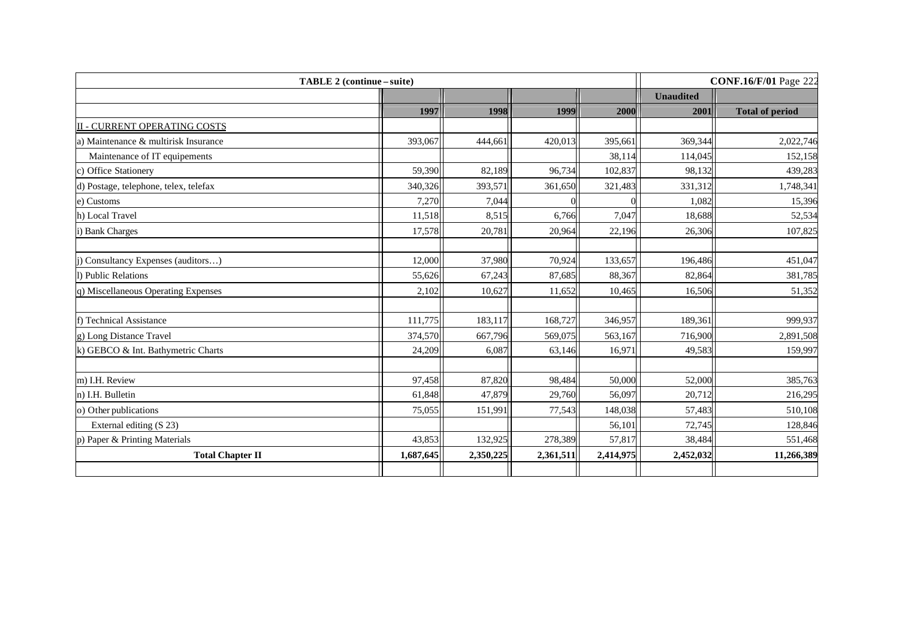| TABLE 2 (continue – suite)            |           |           |           |           |                  | <b>CONF.16/F/01 Page 222</b> |
|---------------------------------------|-----------|-----------|-----------|-----------|------------------|------------------------------|
|                                       |           |           |           |           | <b>Unaudited</b> |                              |
|                                       | 1997      | 1998      | 1999      | 2000      | 2001             | <b>Total of period</b>       |
| <b>II - CURRENT OPERATING COSTS</b>   |           |           |           |           |                  |                              |
| a) Maintenance & multirisk Insurance  | 393,067   | 444,661   | 420,013   | 395,661   | 369,344          | 2,022,746                    |
| Maintenance of IT equipements         |           |           |           | 38,114    | 114,045          | 152,158                      |
| c) Office Stationery                  | 59,390    | 82,189    | 96,734    | 102,837   | 98,132           | 439,283                      |
| d) Postage, telephone, telex, telefax | 340,326   | 393,571   | 361,650   | 321,483   | 331,312          | 1,748,341                    |
| e) Customs                            | 7,270     | 7,044     |           |           | 1,082            | 15,396                       |
| h) Local Travel                       | 11,518    | 8,515     | 6,766     | 7,047     | 18,688           | 52,534                       |
| i) Bank Charges                       | 17,578    | 20,781    | 20,964    | 22,196    | 26,306           | 107,825                      |
| j) Consultancy Expenses (auditors)    | 12,000    | 37,980    | 70,924    | 133,657   | 196,486          | 451,047                      |
| l) Public Relations                   | 55,626    | 67,243    | 87,685    | 88,367    | 82,864           | 381,785                      |
| q) Miscellaneous Operating Expenses   | 2,102     | 10,627    | 11,652    | 10,465    | 16,506           | 51,352                       |
| f) Technical Assistance               | 111,775   | 183,117   | 168,727   | 346,957   | 189,361          | 999,937                      |
| g) Long Distance Travel               | 374,570   | 667,796   | 569,075   | 563,167   | 716,900          | 2,891,508                    |
| k) GEBCO & Int. Bathymetric Charts    | 24,209    | 6,087     | 63,146    | 16,971    | 49,583           | 159,997                      |
| m) I.H. Review                        | 97,458    | 87,820    | 98,484    | 50,000    | 52,000           | 385,763                      |
| n) I.H. Bulletin                      | 61,848    | 47,879    | 29,760    | 56,097    | 20,712           | 216,295                      |
| o) Other publications                 | 75,055    | 151,991   | 77,543    | 148,038   | 57,483           | 510,108                      |
| External editing (S 23)               |           |           |           | 56,101    | 72,745           | 128,846                      |
| p) Paper & Printing Materials         | 43,853    | 132,925   | 278,389   | 57,817    | 38,484           | 551,468                      |
| <b>Total Chapter II</b>               | 1,687,645 | 2,350,225 | 2,361,511 | 2,414,975 | 2,452,032        | 11,266,389                   |
|                                       |           |           |           |           |                  |                              |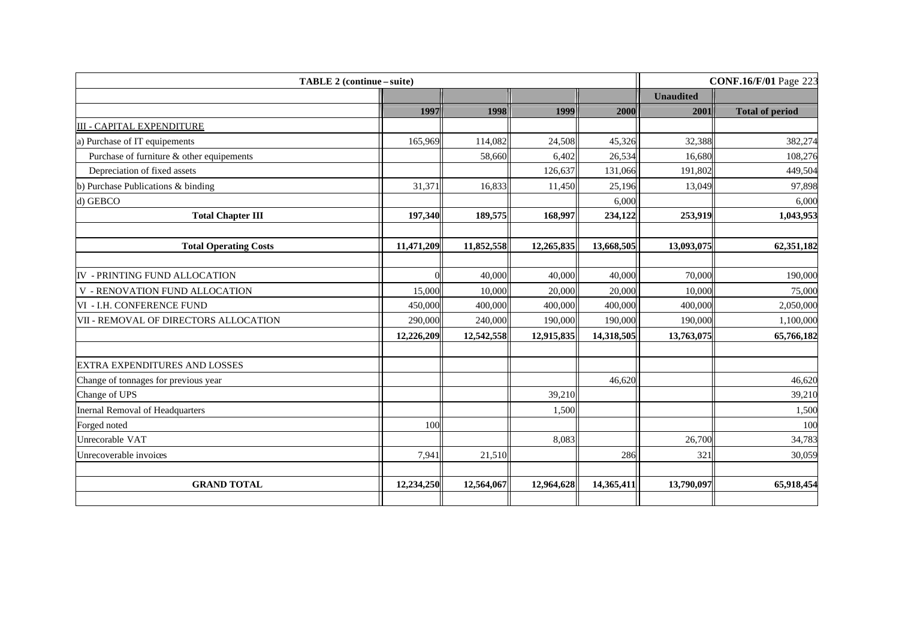| 1997<br>165,969 | 1998<br>114,082<br>58,660 | 1999<br>24,508 | 2000       | <b>Unaudited</b><br>2001 | <b>Total of period</b> |
|-----------------|---------------------------|----------------|------------|--------------------------|------------------------|
|                 |                           |                |            |                          |                        |
|                 |                           |                |            |                          |                        |
|                 |                           |                |            |                          |                        |
|                 |                           |                | 45,326     | 32,388                   | 382,274                |
|                 |                           | 6,402          | 26,534     | 16,680                   | 108,276                |
|                 |                           | 126,637        | 131,066    | 191,802                  | 449,504                |
| 31,371          | 16,833                    | 11,450         | 25,196     | 13,049                   | 97,898                 |
|                 |                           |                | 6,000      |                          | 6,000                  |
| 197,340         | 189,575                   | 168,997        | 234,122    | 253,919                  | 1,043,953              |
|                 |                           |                |            |                          |                        |
| 11,471,209      | 11,852,558                | 12,265,835     | 13,668,505 | 13,093,075               | 62,351,182             |
|                 |                           |                |            |                          |                        |
|                 | 40,000                    | 40,000         | 40,000     | 70,000                   | 190,000                |
| 15,000          | 10,000                    | 20,000         | 20,000     | 10,000                   | 75,000                 |
| 450,000         | 400,000                   | 400,000        | 400,000    | 400,000                  | 2,050,000              |
| 290,000         | 240,000                   | 190,000        | 190,000    | 190,000                  | 1,100,000              |
| 12,226,209      | 12,542,558                | 12,915,835     | 14,318,505 | 13,763,075               | 65,766,182             |
|                 |                           |                |            |                          |                        |
|                 |                           |                | 46,620     |                          | 46,620                 |
|                 |                           | 39,210         |            |                          | 39,210                 |
|                 |                           | 1,500          |            |                          | 1,500                  |
| 100             |                           |                |            |                          | 100                    |
|                 |                           | 8,083          |            | 26,700                   | 34,783                 |
| 7,941           | 21,510                    |                | 286        | 321                      | 30,059                 |
| 12,234,250      | 12,564,067                | 12,964,628     | 14,365,411 | 13,790,097               | 65,918,454             |
|                 |                           |                |            |                          |                        |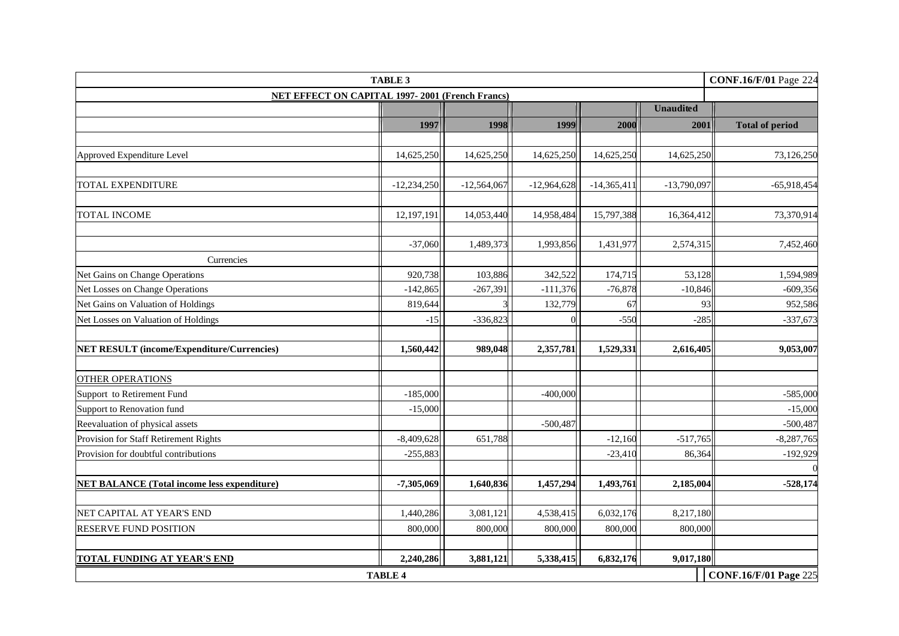| <b>TABLE 3</b><br><b>CONF.16/F/01</b> Page 224         |               |               |               |              |                  |                        |  |  |  |
|--------------------------------------------------------|---------------|---------------|---------------|--------------|------------------|------------------------|--|--|--|
| <b>NET EFFECT ON CAPITAL 1997-2001 (French Francs)</b> |               |               |               |              |                  |                        |  |  |  |
|                                                        |               |               |               |              | <b>Unaudited</b> |                        |  |  |  |
|                                                        | 1997          | 1998          | 1999          | 2000         | 2001             | <b>Total of period</b> |  |  |  |
|                                                        |               |               |               |              |                  |                        |  |  |  |
| Approved Expenditure Level                             | 14,625,250    | 14,625,250    | 14,625,250    | 14,625,250   | 14,625,250       | 73,126,250             |  |  |  |
|                                                        |               |               |               |              |                  |                        |  |  |  |
| TOTAL EXPENDITURE                                      | $-12,234,250$ | $-12,564,067$ | $-12,964,628$ | $-14,365,41$ | $-13,790,097$    | $-65,918,454$          |  |  |  |
| <b>TOTAL INCOME</b>                                    | 12,197,191    | 14,053,440    | 14,958,484    | 15,797,388   | 16,364,412       | 73,370,914             |  |  |  |
|                                                        |               |               |               |              |                  |                        |  |  |  |
|                                                        | $-37,060$     | 1,489,373     | 1,993,856     | 1,431,977    | 2,574,315        | 7,452,460              |  |  |  |
| Currencies                                             |               |               |               |              |                  |                        |  |  |  |
| Net Gains on Change Operations                         | 920,738       | 103,886       | 342,522       | 174,715      | 53,128           | 1,594,989              |  |  |  |
| Net Losses on Change Operations                        | $-142,865$    | $-267,391$    | $-111,376$    | $-76,878$    | $-10,846$        | $-609,356$             |  |  |  |
| Net Gains on Valuation of Holdings                     | 819,644       |               | 132,779       | 67           | 93               | 952,586                |  |  |  |
| Net Losses on Valuation of Holdings                    | $-15$         | $-336,823$    |               | $-550$       | $-285$           | $-337,673$             |  |  |  |
| <b>NET RESULT (income/Expenditure/Currencies)</b>      | 1,560,442     | 989,048       | 2,357,781     | 1,529,331    | 2,616,405        | 9,053,007              |  |  |  |
| <b>OTHER OPERATIONS</b>                                |               |               |               |              |                  |                        |  |  |  |
| Support to Retirement Fund                             | $-185,000$    |               | $-400,000$    |              |                  | $-585,000$             |  |  |  |
| Support to Renovation fund                             | $-15,000$     |               |               |              |                  | $-15,000$              |  |  |  |
| Reevaluation of physical assets                        |               |               | $-500,487$    |              |                  | $-500,487$             |  |  |  |
| Provision for Staff Retirement Rights                  | $-8,409,628$  | 651,788       |               | $-12,160$    | $-517,765$       | $-8,287,765$           |  |  |  |
| Provision for doubtful contributions                   | $-255,883$    |               |               | $-23,410$    | 86,364           | $-192,929$             |  |  |  |
| <b>NET BALANCE (Total income less expenditure)</b>     | $-7,305,069$  | 1,640,836     | 1,457,294     | 1,493,761    | 2,185,004        | $-528,174$             |  |  |  |
|                                                        |               |               |               |              |                  |                        |  |  |  |
| NET CAPITAL AT YEAR'S END                              | 1,440,286     | 3,081,121     | 4,538,415     | 6,032,176    | 8,217,180        |                        |  |  |  |
| <b>RESERVE FUND POSITION</b>                           | 800,000       | 800,000       | 800,000       | 800,000      | 800,000          |                        |  |  |  |
|                                                        |               |               |               |              |                  |                        |  |  |  |
| TOTAL FUNDING AT YEAR'S END                            | 2,240,286     | 3,881,121     | 5,338,415     | 6,832,176    | 9,017,180        |                        |  |  |  |
| <b>CONF.16/F/01 Page 225</b><br><b>TABLE 4</b>         |               |               |               |              |                  |                        |  |  |  |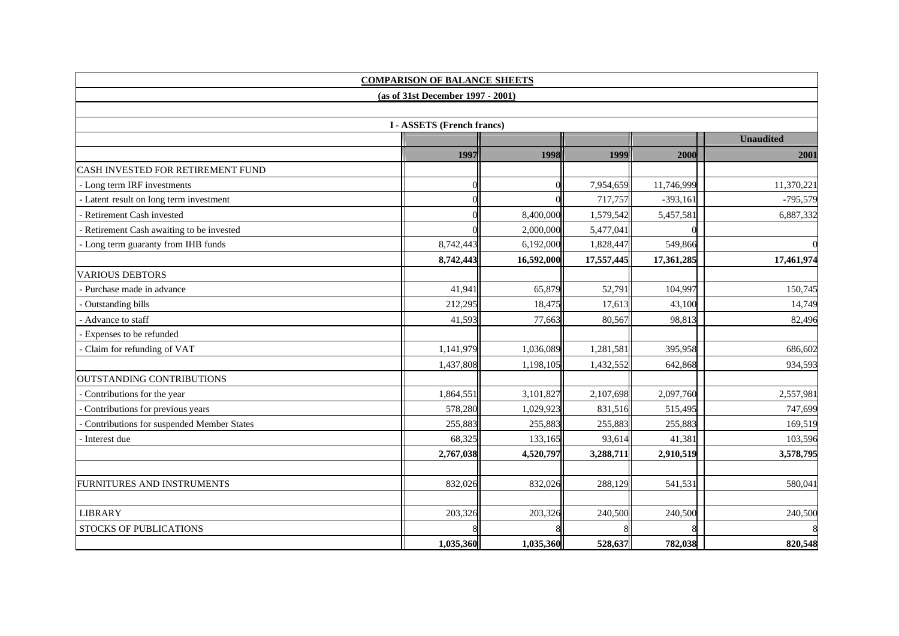|                                           | <b>COMPARISON OF BALANCE SHEETS</b> |            |            |            |                  |
|-------------------------------------------|-------------------------------------|------------|------------|------------|------------------|
|                                           | (as of 31st December 1997 - 2001)   |            |            |            |                  |
|                                           |                                     |            |            |            |                  |
|                                           | <b>I-ASSETS (French francs)</b>     |            |            |            |                  |
|                                           |                                     |            |            |            | <b>Unaudited</b> |
|                                           | 1997                                | 1998       | 1999       | 2000       | 2001             |
| CASH INVESTED FOR RETIREMENT FUND         |                                     |            |            |            |                  |
| - Long term IRF investments               |                                     |            | 7,954,659  | 11,746,999 | 11,370,221       |
| Latent result on long term investment     |                                     |            | 717,757    | $-393,161$ | $-795,579$       |
| Retirement Cash invested                  |                                     | 8,400,000  | 1,579,542  | 5,457,581  | 6,887,332        |
| Retirement Cash awaiting to be invested   |                                     | 2,000,000  | 5,477,041  |            |                  |
| Long term guaranty from IHB funds         | 8,742,443                           | 6,192,000  | 1,828,447  | 549,866    |                  |
|                                           | 8,742,443                           | 16,592,000 | 17,557,445 | 17,361,285 | 17,461,974       |
| <b>VARIOUS DEBTORS</b>                    |                                     |            |            |            |                  |
| Purchase made in advance                  | 41,941                              | 65,879     | 52,791     | 104,997    | 150,745          |
| Outstanding bills                         | 212,295                             | 18,475     | 17,613     | 43,100     | 14,749           |
| Advance to staff                          | 41,593                              | 77,663     | 80,567     | 98,813     | 82,496           |
| Expenses to be refunded                   |                                     |            |            |            |                  |
| Claim for refunding of VAT                | 1,141,979                           | 1,036,089  | 1,281,581  | 395,958    | 686,602          |
|                                           | 1,437,808                           | 1,198,105  | 1,432,552  | 642,868    | 934,593          |
| <b>OUTSTANDING CONTRIBUTIONS</b>          |                                     |            |            |            |                  |
| Contributions for the year                | 1,864,551                           | 3,101,827  | 2,107,698  | 2,097,760  | 2,557,981        |
| Contributions for previous years          | 578,280                             | 1,029,923  | 831,516    | 515,495    | 747,699          |
| Contributions for suspended Member States | 255,883                             | 255,883    | 255,883    | 255,883    | 169,519          |
| Interest due                              | 68,325                              | 133,165    | 93,614     | 41,381     | 103,596          |
|                                           | 2,767,038                           | 4,520,797  | 3,288,711  | 2,910,519  | 3,578,795        |
|                                           |                                     |            |            |            |                  |
| FURNITURES AND INSTRUMENTS                | 832,026                             | 832,026    | 288,129    | 541,531    | 580,041          |
|                                           |                                     |            |            |            |                  |
| <b>LIBRARY</b>                            | 203,326                             | 203,326    | 240,500    | 240,500    | 240,500          |
| <b>STOCKS OF PUBLICATIONS</b>             |                                     |            |            |            |                  |
|                                           | 1,035,360                           | 1,035,360  | 528,637    | 782,038    | 820,548          |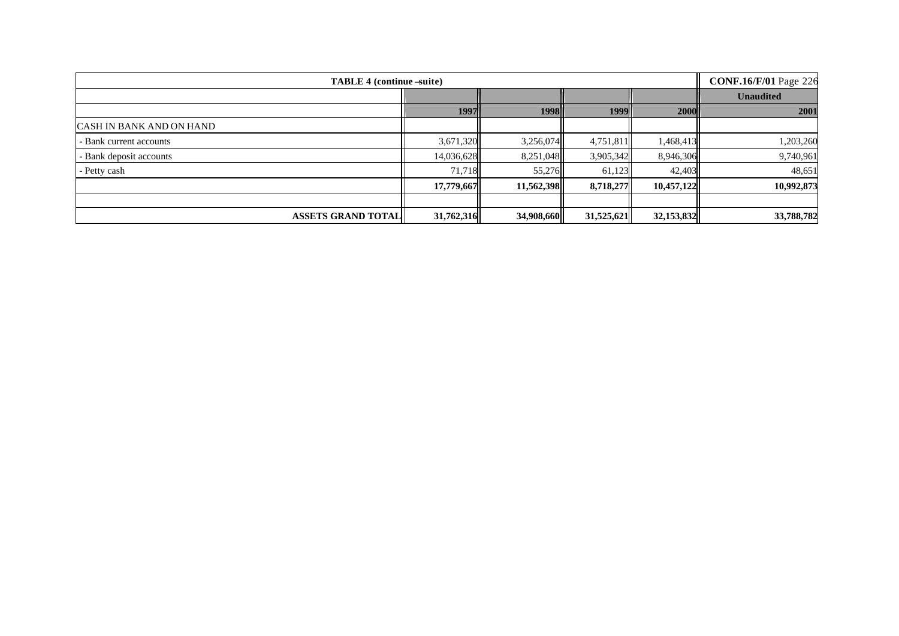| <b>TABLE 4 (continue -suite)</b> | <b>CONF.16/F/01 Page 226</b> |            |            |            |                  |
|----------------------------------|------------------------------|------------|------------|------------|------------------|
|                                  |                              |            |            |            | <b>Unaudited</b> |
|                                  | 1997                         | 1998       | 1999       | 2000       | 2001             |
| <b>CASH IN BANK AND ON HAND</b>  |                              |            |            |            |                  |
| - Bank current accounts          | 3,671,320                    | 3,256,074  | 4,751,811  | 1,468,413  | 1,203,260        |
| Bank deposit accounts            | 14,036,628                   | 8,251,048  | 3,905,342  | 8,946,306  | 9,740,961        |
| - Petty cash                     | 71,718                       | 55,276     | 61,123     | 42,403     | 48,651           |
|                                  | 17,779,667                   | 11,562,398 | 8,718,277  | 10,457,122 | 10,992,873       |
|                                  |                              |            |            |            |                  |
| <b>ASSETS GRAND TOTAL   </b>     | 31,762,316                   | 34,908,660 | 31,525,621 | 32,153,832 | 33,788,782       |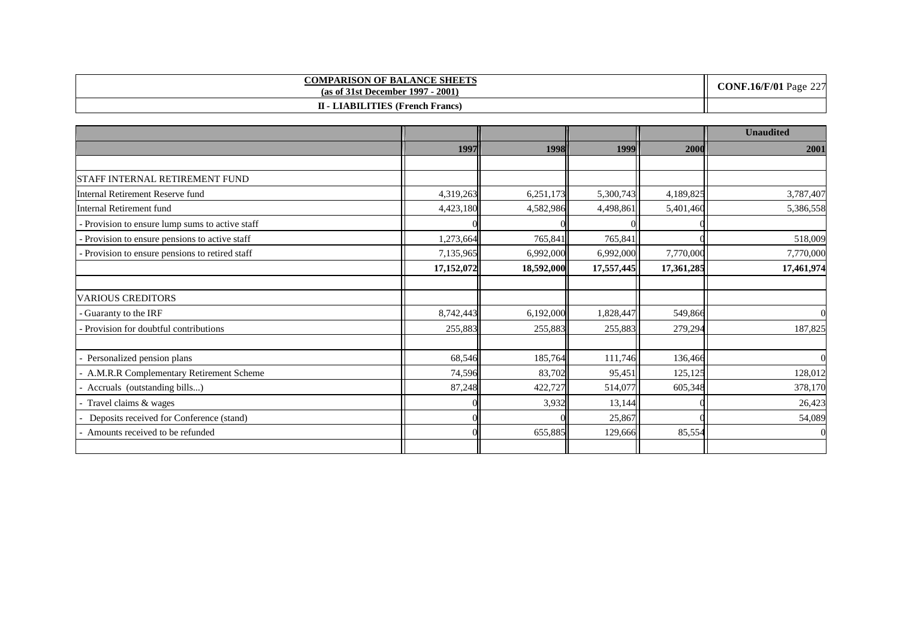| <b>COMPARISON OF BALANCE SHEETS</b><br>$-2001$<br>(as of 31st December 1997) | <b>CONF.16/F/01</b> Page $227$ |
|------------------------------------------------------------------------------|--------------------------------|
| <b>II - LIABILITIES (French Francs)</b>                                      |                                |

|                                               |            |            |            |            | <b>Unaudited</b> |
|-----------------------------------------------|------------|------------|------------|------------|------------------|
|                                               | 1997       | 1998       | 1999       | 2000       | 2001             |
|                                               |            |            |            |            |                  |
| STAFF INTERNAL RETIREMENT FUND                |            |            |            |            |                  |
| Internal Retirement Reserve fund              | 4,319,263  | 6,251,173  | 5,300,743  | 4,189,825  | 3,787,407        |
| <b>Internal Retirement fund</b>               | 4,423,180  | 4,582,986  | 4,498,861  | 5,401,460  | 5,386,558        |
| Provision to ensure lump sums to active staff |            |            |            |            |                  |
| Provision to ensure pensions to active staff  | 1,273,664  | 765,841    | 765,841    |            | 518,009          |
| Provision to ensure pensions to retired staff | 7,135,965  | 6,992,000  | 6,992,000  | 7,770,000  | 7,770,000        |
|                                               | 17,152,072 | 18,592,000 | 17,557,445 | 17,361,285 | 17,461,974       |
|                                               |            |            |            |            |                  |
| <b>VARIOUS CREDITORS</b>                      |            |            |            |            |                  |
| Guaranty to the IRF                           | 8,742,443  | 6,192,000  | 1,828,447  | 549,866    |                  |
| Provision for doubtful contributions          | 255,883    | 255,883    | 255,883    | 279,294    | 187,825          |
|                                               |            |            |            |            |                  |
| Personalized pension plans                    | 68,546     | 185,764    | 111,746    | 136,466    |                  |
| A.M.R.R Complementary Retirement Scheme       | 74,596     | 83,702     | 95,451     | 125,125    | 128,012          |
| Accruals (outstanding bills)                  | 87,248     | 422,727    | 514,077    | 605,348    | 378,170          |
| Travel claims & wages                         |            | 3,932      | 13,144     |            | 26,423           |
| Deposits received for Conference (stand)      |            |            | 25,867     |            | 54,089           |
| Amounts received to be refunded               |            | 655,885    | 129,666    | 85,554     |                  |
|                                               |            |            |            |            |                  |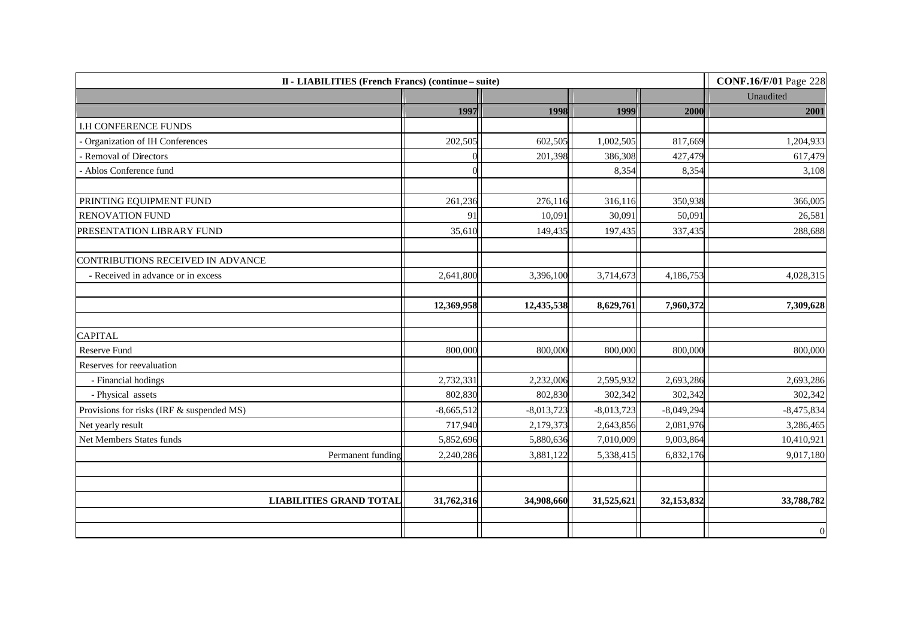| II - LIABILITIES (French Francs) (continue – suite) | <b>CONF.16/F/01</b> Page 228 |              |              |              |              |
|-----------------------------------------------------|------------------------------|--------------|--------------|--------------|--------------|
|                                                     |                              |              |              |              | Unaudited    |
|                                                     | 1997                         | 1998         | 1999         | 2000         | 2001         |
| <b>I.H CONFERENCE FUNDS</b>                         |                              |              |              |              |              |
| Organization of IH Conferences                      | 202,505                      | 602,505      | 1,002,505    | 817,669      | 1,204,933    |
| Removal of Directors                                |                              | 201,398      | 386,308      | 427,479      | 617,479      |
| - Ablos Conference fund                             |                              |              | 8,354        | 8,354        | 3,108        |
|                                                     |                              |              |              |              |              |
| PRINTING EQUIPMENT FUND                             | 261,236                      | 276,116      | 316,116      | 350,938      | 366,005      |
| RENOVATION FUND                                     | 91                           | 10,091       | 30,091       | 50,091       | 26,581       |
| PRESENTATION LIBRARY FUND                           | 35,610                       | 149,435      | 197,435      | 337,435      | 288,688      |
| CONTRIBUTIONS RECEIVED IN ADVANCE                   |                              |              |              |              |              |
| - Received in advance or in excess                  | 2,641,800                    | 3,396,100    | 3,714,673    | 4,186,753    | 4,028,315    |
|                                                     | 12,369,958                   | 12,435,538   | 8,629,761    | 7,960,372    | 7,309,628    |
| <b>CAPITAL</b>                                      |                              |              |              |              |              |
| Reserve Fund                                        | 800,000                      | 800,000      | 800,000      | 800,000      | 800,000      |
| Reserves for reevaluation                           |                              |              |              |              |              |
| - Financial hodings                                 | 2,732,331                    | 2,232,006    | 2,595,932    | 2,693,286    | 2,693,286    |
| - Physical assets                                   | 802,830                      | 802,830      | 302,342      | 302,342      | 302,342      |
| Provisions for risks (IRF & suspended MS)           | $-8,665,512$                 | $-8,013,723$ | $-8,013,723$ | $-8,049,294$ | $-8,475,834$ |
| Net yearly result                                   | 717,940                      | 2,179,373    | 2,643,856    | 2,081,976    | 3,286,465    |
| Net Members States funds                            | 5,852,696                    | 5,880,636    | 7,010,009    | 9,003,864    | 10,410,921   |
| Permanent funding                                   | 2,240,286                    | 3,881,122    | 5,338,415    | 6,832,176    | 9,017,180    |
|                                                     |                              |              |              |              |              |
| <b>LIABILITIES GRAND TOTAL</b>                      | 31,762,316                   | 34,908,660   | 31,525,621   | 32,153,832   | 33,788,782   |
|                                                     |                              |              |              |              | $\mathbf 0$  |